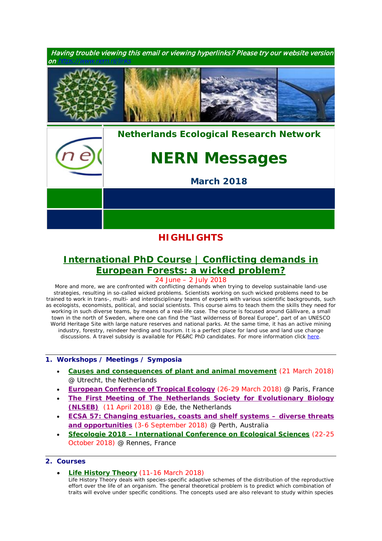

## **HIGHLIGHTS**

# **[International PhD Course](https://www.pe-rc.nl/european-forestry) | Conflicting demands in [European Forests: a wicked problem?](https://www.pe-rc.nl/european-forestry)**

24 June – 2 July 2018

*More and more, we are confronted with conflicting demands when trying to develop sustainable land-use strategies, resulting in so-called wicked problems. Scientists working on such wicked problems need to be trained to work in trans-, multi- and interdisciplinary teams of experts with various scientific backgrounds, such as ecologists, economists, political, and social scientists. This course aims to teach them the skills they need for*  working in such diverse teams, by means of a real-life case. The course is focused around Gällivare, a small *town in the north of Sweden, where one can find the "last wilderness of Boreal Europe", part of an UNESCO World Heritage Site with large nature reserves and national parks. At the same time, it has an active mining*  industry, forestry, reindeer herding and tourism. It is a perfect place for land use and land use change *discussions. A travel subsidy is available for PE&RC PhD candidates. For more information click [here.](https://www.pe-rc.nl/european-forestry)*

### **1. Workshops / Meetings / Symposia**

- **[Causes and consequences of plant and animal movement](https://www.nern.nl/sites/default/files/Symposium%20Movement%20Ecology2.pdf)** (21 March 2018) @ Utrecht, the Netherlands
- **[European Conference of Tropical Ecology](http://www.soctropecol-conference.eu/)** (26-29 March 2018) @ Paris, France
- **[The First Meeting of The Netherlands Society for Evolutionary Biology](http://nlseb.nl/meetings/)  [\(NLSEB\)](http://nlseb.nl/meetings/)** (11 April 2018) @ Ede, the Netherlands
- **[ECSA 57: Changing estuaries, coasts and shelf systems –](http://www.estuarinecoastalconference.com/) diverse threats [and opportunities](http://www.estuarinecoastalconference.com/)** (3-6 September 2018) @ Perth, Australia
- **Sfecologie 2018 – [International Conference on Ecological Sciences](https://sfecologie2018.sciencesconf.org/)** (22-25 October 2018) @ Rennes, France

## **2. Courses**

**[Life History Theory](https://www.rug.nl/research/ecology-and-evolution/phdcourses/lifehistorytheory)** (11-16 March 2018)

*Life History Theory deals with species-specific adaptive schemes of the distribution of the reproductive*  effort over the life of an organism. The general theoretical problem is to predict which combination of *traits will evolve under specific conditions. The concepts used are also relevant to study within species*